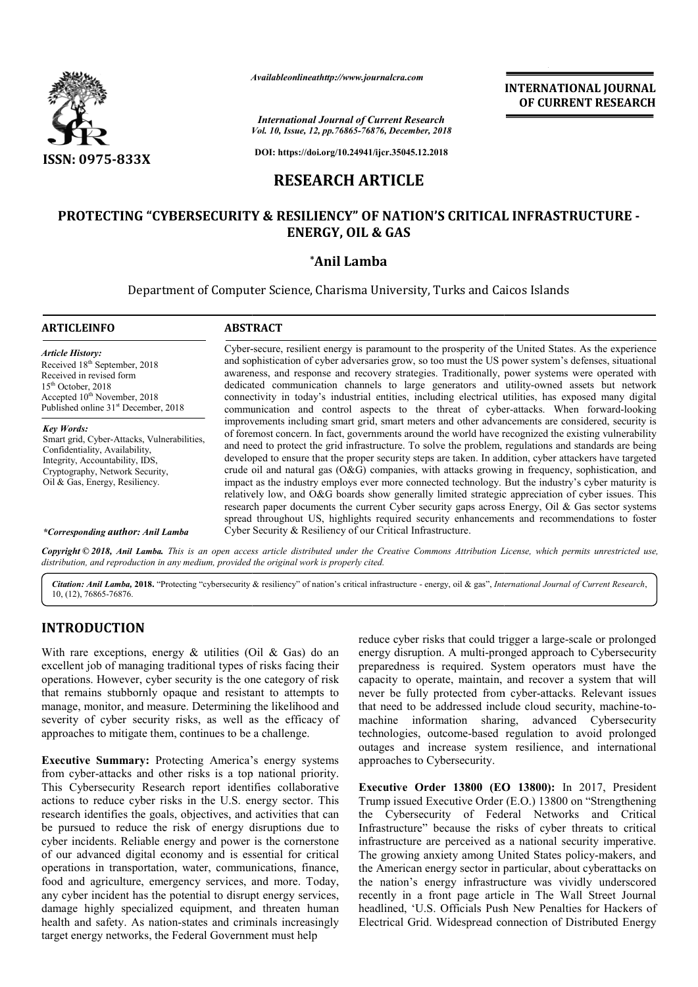

*Availableonlineathttp://www.journal Availableonlineathttp://www.journalcra.com*

# **RESEARCH ARTICLE**

# **PROTECTING "CYBERSECURITY & RESILIENCY" OF NATION'S CRITICAL INFRASTRUCTURE - ENERGY, OIL & GAS**

### **\*Anil Lamba**

|                                                                                                                                                                                                                                                                                                                                                                                                                                                                                                                                                                                                                                                                                                                                                                                                                                                                       | Aranonevinineamap.//www.jvarianera.com                                                                                                                                                                                                                                                                                                                                                                                                                                                                                                                                                                                                                                                                                                                                                                                                                                                                                                                                                                                                                                                                                                                                                                                                                                                                                                                                                                                                                                                                                                                                                                                                        |                              | <b>INTERNATIONAL JOURNAL</b><br>OF CURRENT RESEARCH                                                                                                                                                                                                                                                                                                                                                                                                                                                                                                                                                                                                                                                          |  |  |  |  |  |
|-----------------------------------------------------------------------------------------------------------------------------------------------------------------------------------------------------------------------------------------------------------------------------------------------------------------------------------------------------------------------------------------------------------------------------------------------------------------------------------------------------------------------------------------------------------------------------------------------------------------------------------------------------------------------------------------------------------------------------------------------------------------------------------------------------------------------------------------------------------------------|-----------------------------------------------------------------------------------------------------------------------------------------------------------------------------------------------------------------------------------------------------------------------------------------------------------------------------------------------------------------------------------------------------------------------------------------------------------------------------------------------------------------------------------------------------------------------------------------------------------------------------------------------------------------------------------------------------------------------------------------------------------------------------------------------------------------------------------------------------------------------------------------------------------------------------------------------------------------------------------------------------------------------------------------------------------------------------------------------------------------------------------------------------------------------------------------------------------------------------------------------------------------------------------------------------------------------------------------------------------------------------------------------------------------------------------------------------------------------------------------------------------------------------------------------------------------------------------------------------------------------------------------------|------------------------------|--------------------------------------------------------------------------------------------------------------------------------------------------------------------------------------------------------------------------------------------------------------------------------------------------------------------------------------------------------------------------------------------------------------------------------------------------------------------------------------------------------------------------------------------------------------------------------------------------------------------------------------------------------------------------------------------------------------|--|--|--|--|--|
|                                                                                                                                                                                                                                                                                                                                                                                                                                                                                                                                                                                                                                                                                                                                                                                                                                                                       | <b>International Journal of Current Research</b><br>Vol. 10, Issue, 12, pp.76865-76876, December, 2018                                                                                                                                                                                                                                                                                                                                                                                                                                                                                                                                                                                                                                                                                                                                                                                                                                                                                                                                                                                                                                                                                                                                                                                                                                                                                                                                                                                                                                                                                                                                        |                              |                                                                                                                                                                                                                                                                                                                                                                                                                                                                                                                                                                                                                                                                                                              |  |  |  |  |  |
| <b>ISSN: 0975-833X</b>                                                                                                                                                                                                                                                                                                                                                                                                                                                                                                                                                                                                                                                                                                                                                                                                                                                | DOI: https://doi.org/10.24941/ijcr.35045.12.2018                                                                                                                                                                                                                                                                                                                                                                                                                                                                                                                                                                                                                                                                                                                                                                                                                                                                                                                                                                                                                                                                                                                                                                                                                                                                                                                                                                                                                                                                                                                                                                                              |                              |                                                                                                                                                                                                                                                                                                                                                                                                                                                                                                                                                                                                                                                                                                              |  |  |  |  |  |
| <b>RESEARCH ARTICLE</b>                                                                                                                                                                                                                                                                                                                                                                                                                                                                                                                                                                                                                                                                                                                                                                                                                                               |                                                                                                                                                                                                                                                                                                                                                                                                                                                                                                                                                                                                                                                                                                                                                                                                                                                                                                                                                                                                                                                                                                                                                                                                                                                                                                                                                                                                                                                                                                                                                                                                                                               |                              |                                                                                                                                                                                                                                                                                                                                                                                                                                                                                                                                                                                                                                                                                                              |  |  |  |  |  |
|                                                                                                                                                                                                                                                                                                                                                                                                                                                                                                                                                                                                                                                                                                                                                                                                                                                                       |                                                                                                                                                                                                                                                                                                                                                                                                                                                                                                                                                                                                                                                                                                                                                                                                                                                                                                                                                                                                                                                                                                                                                                                                                                                                                                                                                                                                                                                                                                                                                                                                                                               | <b>ENERGY, OIL &amp; GAS</b> | PROTECTING "CYBERSECURITY & RESILIENCY" OF NATION'S CRITICAL INFRASTRUCTURE -                                                                                                                                                                                                                                                                                                                                                                                                                                                                                                                                                                                                                                |  |  |  |  |  |
|                                                                                                                                                                                                                                                                                                                                                                                                                                                                                                                                                                                                                                                                                                                                                                                                                                                                       |                                                                                                                                                                                                                                                                                                                                                                                                                                                                                                                                                                                                                                                                                                                                                                                                                                                                                                                                                                                                                                                                                                                                                                                                                                                                                                                                                                                                                                                                                                                                                                                                                                               | *Anil Lamba                  |                                                                                                                                                                                                                                                                                                                                                                                                                                                                                                                                                                                                                                                                                                              |  |  |  |  |  |
|                                                                                                                                                                                                                                                                                                                                                                                                                                                                                                                                                                                                                                                                                                                                                                                                                                                                       | Department of Computer Science, Charisma University, Turks and Caicos Islands                                                                                                                                                                                                                                                                                                                                                                                                                                                                                                                                                                                                                                                                                                                                                                                                                                                                                                                                                                                                                                                                                                                                                                                                                                                                                                                                                                                                                                                                                                                                                                 |                              |                                                                                                                                                                                                                                                                                                                                                                                                                                                                                                                                                                                                                                                                                                              |  |  |  |  |  |
| <b>ARTICLEINFO</b>                                                                                                                                                                                                                                                                                                                                                                                                                                                                                                                                                                                                                                                                                                                                                                                                                                                    | <b>ABSTRACT</b>                                                                                                                                                                                                                                                                                                                                                                                                                                                                                                                                                                                                                                                                                                                                                                                                                                                                                                                                                                                                                                                                                                                                                                                                                                                                                                                                                                                                                                                                                                                                                                                                                               |                              |                                                                                                                                                                                                                                                                                                                                                                                                                                                                                                                                                                                                                                                                                                              |  |  |  |  |  |
| <b>Article History:</b><br>Received 18 <sup>th</sup> September, 2018<br>Received in revised form<br>15 <sup>th</sup> October, 2018<br>Accepted 10 <sup>th</sup> November, 2018<br>Published online 31 <sup>st</sup> December, 2018                                                                                                                                                                                                                                                                                                                                                                                                                                                                                                                                                                                                                                    | Cyber-secure, resilient energy is paramount to the prosperity of the United States. As the experience<br>and sophistication of cyber adversaries grow, so too must the US power system's defenses, situational<br>awareness, and response and recovery strategies. Traditionally, power systems were operated with<br>dedicated communication channels to large generators and utility-owned assets but network<br>connectivity in today's industrial entities, including electrical utilities, has exposed many digital<br>communication and control aspects to the threat of cyber-attacks. When forward-looking<br>improvements including smart grid, smart meters and other advancements are considered, security is<br>of foremost concern. In fact, governments around the world have recognized the existing vulnerability<br>and need to protect the grid infrastructure. To solve the problem, regulations and standards are being<br>developed to ensure that the proper security steps are taken. In addition, cyber attackers have targeted<br>crude oil and natural gas (O&G) companies, with attacks growing in frequency, sophistication, and<br>impact as the industry employs ever more connected technology. But the industry's cyber maturity is<br>relatively low, and O&G boards show generally limited strategic appreciation of cyber issues. This<br>research paper documents the current Cyber security gaps across Energy, Oil & Gas sector systems<br>spread throughout US, highlights required security enhancements and recommendations to foster<br>Cyber Security & Resiliency of our Critical Infrastructure. |                              |                                                                                                                                                                                                                                                                                                                                                                                                                                                                                                                                                                                                                                                                                                              |  |  |  |  |  |
| <b>Key Words:</b><br>Smart grid, Cyber-Attacks, Vulnerabilities,<br>Confidentiality, Availability,<br>Integrity, Accountability, IDS,<br>Cryptography, Network Security,<br>Oil & Gas, Energy, Resiliency.                                                                                                                                                                                                                                                                                                                                                                                                                                                                                                                                                                                                                                                            |                                                                                                                                                                                                                                                                                                                                                                                                                                                                                                                                                                                                                                                                                                                                                                                                                                                                                                                                                                                                                                                                                                                                                                                                                                                                                                                                                                                                                                                                                                                                                                                                                                               |                              |                                                                                                                                                                                                                                                                                                                                                                                                                                                                                                                                                                                                                                                                                                              |  |  |  |  |  |
| *Corresponding author: Anil Lamba                                                                                                                                                                                                                                                                                                                                                                                                                                                                                                                                                                                                                                                                                                                                                                                                                                     |                                                                                                                                                                                                                                                                                                                                                                                                                                                                                                                                                                                                                                                                                                                                                                                                                                                                                                                                                                                                                                                                                                                                                                                                                                                                                                                                                                                                                                                                                                                                                                                                                                               |                              | Copyright © 2018, Anil Lamba. This is an open access article distributed under the Creative Commons Attribution License, which permits unrestricted use,                                                                                                                                                                                                                                                                                                                                                                                                                                                                                                                                                     |  |  |  |  |  |
| distribution, and reproduction in any medium, provided the original work is properly cited.                                                                                                                                                                                                                                                                                                                                                                                                                                                                                                                                                                                                                                                                                                                                                                           |                                                                                                                                                                                                                                                                                                                                                                                                                                                                                                                                                                                                                                                                                                                                                                                                                                                                                                                                                                                                                                                                                                                                                                                                                                                                                                                                                                                                                                                                                                                                                                                                                                               |                              |                                                                                                                                                                                                                                                                                                                                                                                                                                                                                                                                                                                                                                                                                                              |  |  |  |  |  |
| 10, (12), 76865-76876.                                                                                                                                                                                                                                                                                                                                                                                                                                                                                                                                                                                                                                                                                                                                                                                                                                                |                                                                                                                                                                                                                                                                                                                                                                                                                                                                                                                                                                                                                                                                                                                                                                                                                                                                                                                                                                                                                                                                                                                                                                                                                                                                                                                                                                                                                                                                                                                                                                                                                                               |                              | Citation: Anil Lamba, 2018. "Protecting "cybersecurity & resiliency" of nation's critical infrastructure - energy, oil & gas", International Journal of Current Research,                                                                                                                                                                                                                                                                                                                                                                                                                                                                                                                                    |  |  |  |  |  |
| <b>INTRODUCTION</b>                                                                                                                                                                                                                                                                                                                                                                                                                                                                                                                                                                                                                                                                                                                                                                                                                                                   |                                                                                                                                                                                                                                                                                                                                                                                                                                                                                                                                                                                                                                                                                                                                                                                                                                                                                                                                                                                                                                                                                                                                                                                                                                                                                                                                                                                                                                                                                                                                                                                                                                               |                              | reduce cyber risks that could trigger a large-scale or prolonged                                                                                                                                                                                                                                                                                                                                                                                                                                                                                                                                                                                                                                             |  |  |  |  |  |
| With rare exceptions, energy $\&$ utilities (Oil $\&$ Gas) do an<br>excellent job of managing traditional types of risks facing their<br>operations. However, cyber security is the one category of risk<br>that remains stubbornly opaque and resistant to attempts to<br>manage, monitor, and measure. Determining the likelihood and<br>severity of cyber security risks, as well as the efficacy of<br>approaches to mitigate them, continues to be a challenge.                                                                                                                                                                                                                                                                                                                                                                                                  |                                                                                                                                                                                                                                                                                                                                                                                                                                                                                                                                                                                                                                                                                                                                                                                                                                                                                                                                                                                                                                                                                                                                                                                                                                                                                                                                                                                                                                                                                                                                                                                                                                               |                              | energy disruption. A multi-pronged approach to Cybersecurity<br>preparedness is required. System operators must have the<br>capacity to operate, maintain, and recover a system that will<br>never be fully protected from cyber-attacks. Relevant issues<br>that need to be addressed include cloud security, machine-to-<br>machine information sharing, advanced Cybersecurity<br>technologies, outcome-based regulation to avoid prolonged<br>outages and increase system resilience, and international                                                                                                                                                                                                  |  |  |  |  |  |
| <b>Executive Summary:</b> Protecting America's energy systems<br>from cyber-attacks and other risks is a top national priority.<br>This Cybersecurity Research report identifies collaborative<br>actions to reduce cyber risks in the U.S. energy sector. This<br>research identifies the goals, objectives, and activities that can<br>be pursued to reduce the risk of energy disruptions due to<br>cyber incidents. Reliable energy and power is the cornerstone<br>of our advanced digital economy and is essential for critical<br>operations in transportation, water, communications, finance,<br>food and agriculture, emergency services, and more. Today,<br>any cyber incident has the potential to disrupt energy services,<br>damage highly specialized equipment, and threaten human<br>health and safety. As nation-states and criminals increasingly |                                                                                                                                                                                                                                                                                                                                                                                                                                                                                                                                                                                                                                                                                                                                                                                                                                                                                                                                                                                                                                                                                                                                                                                                                                                                                                                                                                                                                                                                                                                                                                                                                                               | approaches to Cybersecurity. | Executive Order 13800 (EO 13800): In 2017, President<br>Trump issued Executive Order (E.O.) 13800 on "Strengthening<br>the Cybersecurity of Federal Networks and Critical<br>Infrastructure" because the risks of cyber threats to critical<br>infrastructure are perceived as a national security imperative.<br>The growing anxiety among United States policy-makers, and<br>the American energy sector in particular, about cyberattacks on<br>the nation's energy infrastructure was vividly underscored<br>recently in a front page article in The Wall Street Journal<br>headlined, 'U.S. Officials Push New Penalties for Hackers of<br>Electrical Grid. Widespread connection of Distributed Energy |  |  |  |  |  |

# **INTRODUCTION**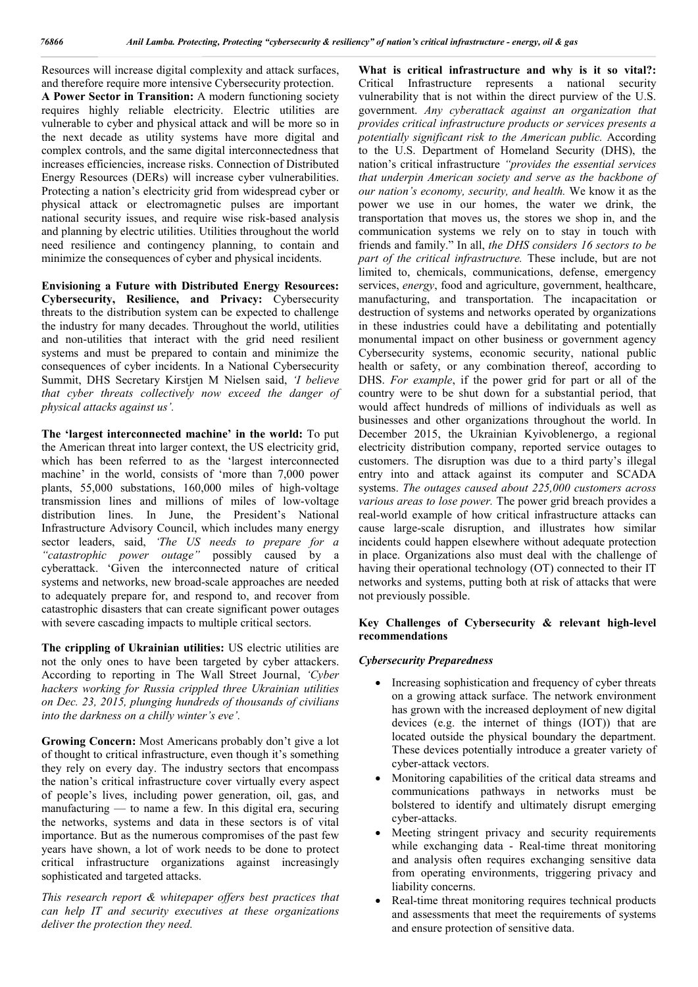Resources will increase digital complexity and attack surfaces, and therefore require more intensive Cybersecurity protection. **A Power Sector in Transition:** A modern functioning society requires highly reliable electricity. Electric utilities are vulnerable to cyber and physical attack and will be more so in the next decade as utility systems have more digital and complex controls, and the same digital interconnectedness that increases efficiencies, increase risks. Connection of Distributed Energy Resources (DERs) will increase cyber vulnerabilities. Protecting a nation's electricity grid from widespread cyber or physical attack or electromagnetic pulses are important national security issues, and require wise risk-based analysis and planning by electric utilities. Utilities throughout the world need resilience and contingency planning, to contain and minimize the consequences of cyber and physical incidents.

**Envisioning a Future with Distributed Energy Resources: Cybersecurity, Resilience, and Privacy:** Cybersecurity threats to the distribution system can be expected to challenge the industry for many decades. Throughout the world, utilities and non-utilities that interact with the grid need resilient systems and must be prepared to contain and minimize the consequences of cyber incidents. In a National Cybersecurity Summit, DHS Secretary Kirstjen M Nielsen said, *'I believe that cyber threats collectively now exceed the danger of physical attacks against us'.*

**The 'largest interconnected machine' in the world:** To put the American threat into larger context, the US electricity grid, which has been referred to as the 'largest interconnected machine' in the world, consists of 'more than 7,000 power plants, 55,000 substations, 160,000 miles of high-voltage transmission lines and millions of miles of low-voltage distribution lines. In June, the President's National Infrastructure Advisory Council, which includes many energy sector leaders, said, *'The US needs to prepare for a "catastrophic power outage"* possibly caused by a cyberattack. 'Given the interconnected nature of critical systems and networks, new broad-scale approaches are needed to adequately prepare for, and respond to, and recover from catastrophic disasters that can create significant power outages with severe cascading impacts to multiple critical sectors.

**The crippling of Ukrainian utilities:** US electric utilities are not the only ones to have been targeted by cyber attackers. According to reporting in The Wall Street Journal, *'Cyber hackers working for Russia crippled three Ukrainian utilities on Dec. 23, 2015, plunging hundreds of thousands of civilians into the darkness on a chilly winter's eve'.* 

**Growing Concern:** Most Americans probably don't give a lot of thought to critical infrastructure, even though it's something they rely on every day. The industry sectors that encompass the nation's critical infrastructure cover virtually every aspect of people's lives, including power generation, oil, gas, and manufacturing — to name a few. In this digital era, securing the networks, systems and data in these sectors is of vital importance. But as the numerous compromises of the past few years have shown, a lot of work needs to be done to protect critical infrastructure organizations against increasingly sophisticated and targeted attacks.

*This research report & whitepaper offers best practices that can help IT and security executives at these organizations deliver the protection they need.*

**What is critical infrastructure and why is it so vital?:**  Critical Infrastructure represents a national security vulnerability that is not within the direct purview of the U.S. government. *Any cyberattack against an organization that provides critical infrastructure products or services presents a potentially significant risk to the American public.* According to the U.S. Department of Homeland Security (DHS), the nation's critical infrastructure *"provides the essential services that underpin American society and serve as the backbone of our nation's economy, security, and health.* We know it as the power we use in our homes, the water we drink, the transportation that moves us, the stores we shop in, and the communication systems we rely on to stay in touch with friends and family." In all, *the DHS considers 16 sectors to be part of the critical infrastructure.* These include, but are not limited to, chemicals, communications, defense, emergency services, *energy*, food and agriculture, government, healthcare, manufacturing, and transportation. The incapacitation or destruction of systems and networks operated by organizations in these industries could have a debilitating and potentially monumental impact on other business or government agency Cybersecurity systems, economic security, national public health or safety, or any combination thereof, according to DHS. *For example*, if the power grid for part or all of the country were to be shut down for a substantial period, that would affect hundreds of millions of individuals as well as businesses and other organizations throughout the world. In December 2015, the Ukrainian Kyivoblenergo, a regional electricity distribution company, reported service outages to customers. The disruption was due to a third party's illegal entry into and attack against its computer and SCADA systems. *The outages caused about 225,000 customers across various areas to lose power.* The power grid breach provides a real-world example of how critical infrastructure attacks can cause large-scale disruption, and illustrates how similar incidents could happen elsewhere without adequate protection in place. Organizations also must deal with the challenge of having their operational technology (OT) connected to their IT networks and systems, putting both at risk of attacks that were not previously possible.

#### **Key Challenges of Cybersecurity & relevant high-level recommendations**

#### *Cybersecurity Preparedness*

- Increasing sophistication and frequency of cyber threats on a growing attack surface. The network environment has grown with the increased deployment of new digital devices (e.g. the internet of things (IOT)) that are located outside the physical boundary the department. These devices potentially introduce a greater variety of cyber-attack vectors.
- Monitoring capabilities of the critical data streams and communications pathways in networks must be bolstered to identify and ultimately disrupt emerging cyber-attacks.
- Meeting stringent privacy and security requirements while exchanging data - Real-time threat monitoring and analysis often requires exchanging sensitive data from operating environments, triggering privacy and liability concerns.
- Real-time threat monitoring requires technical products and assessments that meet the requirements of systems and ensure protection of sensitive data.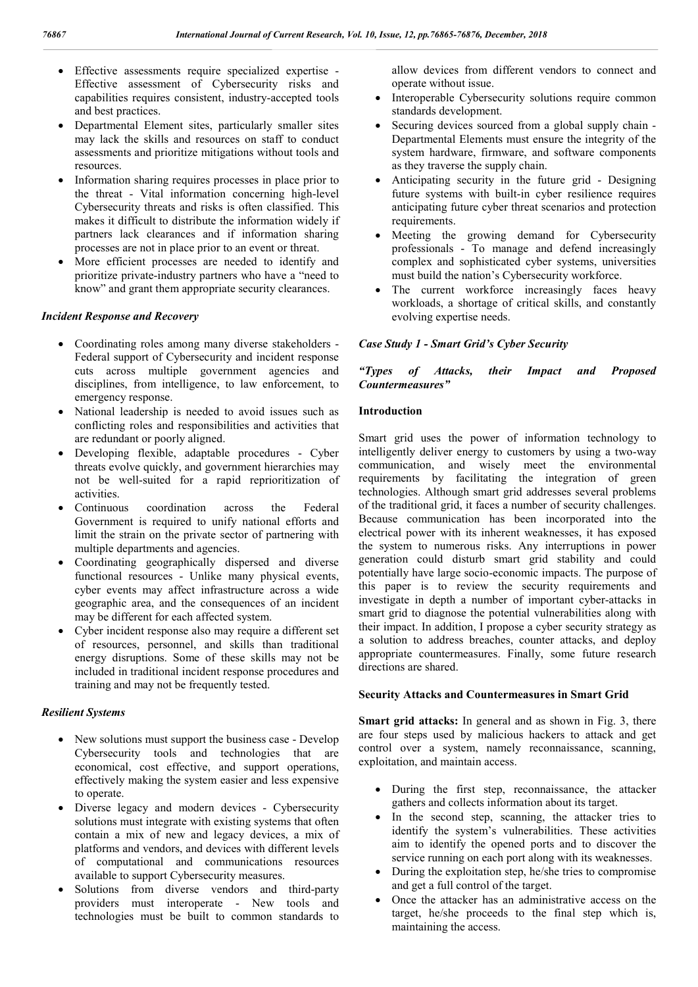- Effective assessments require specialized expertise Effective assessment of Cybersecurity risks and capabilities requires consistent, industry-accepted tools and best practices.
- Departmental Element sites, particularly smaller sites may lack the skills and resources on staff to conduct assessments and prioritize mitigations without tools and resources.
- Information sharing requires processes in place prior to the threat - Vital information concerning high-level Cybersecurity threats and risks is often classified. This makes it difficult to distribute the information widely if partners lack clearances and if information sharing processes are not in place prior to an event or threat.
- More efficient processes are needed to identify and prioritize private-industry partners who have a "need to know" and grant them appropriate security clearances.

# *Incident Response and Recovery*

- Coordinating roles among many diverse stakeholders Federal support of Cybersecurity and incident response cuts across multiple government agencies and disciplines, from intelligence, to law enforcement, to emergency response.
- National leadership is needed to avoid issues such as conflicting roles and responsibilities and activities that are redundant or poorly aligned.
- Developing flexible, adaptable procedures Cyber threats evolve quickly, and government hierarchies may not be well-suited for a rapid reprioritization of activities.
- Continuous coordination across the Federal Government is required to unify national efforts and limit the strain on the private sector of partnering with multiple departments and agencies.
- Coordinating geographically dispersed and diverse functional resources - Unlike many physical events, cyber events may affect infrastructure across a wide geographic area, and the consequences of an incident may be different for each affected system.
- Cyber incident response also may require a different set of resources, personnel, and skills than traditional energy disruptions. Some of these skills may not be included in traditional incident response procedures and training and may not be frequently tested.

### *Resilient Systems*

- New solutions must support the business case Develop Cybersecurity tools and technologies that are economical, cost effective, and support operations, effectively making the system easier and less expensive to operate.
- Diverse legacy and modern devices Cybersecurity solutions must integrate with existing systems that often contain a mix of new and legacy devices, a mix of platforms and vendors, and devices with different levels of computational and communications resources available to support Cybersecurity measures.
- Solutions from diverse vendors and third-party providers must interoperate - New tools and technologies must be built to common standards to

allow devices from different vendors to connect and operate without issue.

- Interoperable Cybersecurity solutions require common standards development.
- Securing devices sourced from a global supply chain Departmental Elements must ensure the integrity of the system hardware, firmware, and software components as they traverse the supply chain.
- Anticipating security in the future grid Designing future systems with built-in cyber resilience requires anticipating future cyber threat scenarios and protection requirements.
- Meeting the growing demand for Cybersecurity professionals - To manage and defend increasingly complex and sophisticated cyber systems, universities must build the nation's Cybersecurity workforce.
- The current workforce increasingly faces heavy workloads, a shortage of critical skills, and constantly evolving expertise needs.

# *Case Study 1 - Smart Grid's Cyber Security*

## *"Types of Attacks, their Impact and Proposed Countermeasures"*

### **Introduction**

Smart grid uses the power of information technology to intelligently deliver energy to customers by using a two-way communication, and wisely meet the environmental requirements by facilitating the integration of green technologies. Although smart grid addresses several problems of the traditional grid, it faces a number of security challenges. Because communication has been incorporated into the electrical power with its inherent weaknesses, it has exposed the system to numerous risks. Any interruptions in power generation could disturb smart grid stability and could potentially have large socio-economic impacts. The purpose of this paper is to review the security requirements and investigate in depth a number of important cyber-attacks in smart grid to diagnose the potential vulnerabilities along with their impact. In addition, I propose a cyber security strategy as a solution to address breaches, counter attacks, and deploy appropriate countermeasures. Finally, some future research directions are shared.

### **Security Attacks and Countermeasures in Smart Grid**

**Smart grid attacks:** In general and as shown in Fig. 3, there are four steps used by malicious hackers to attack and get control over a system, namely reconnaissance, scanning, exploitation, and maintain access.

- During the first step, reconnaissance, the attacker gathers and collects information about its target.
- In the second step, scanning, the attacker tries to identify the system's vulnerabilities. These activities aim to identify the opened ports and to discover the service running on each port along with its weaknesses.
- During the exploitation step, he/she tries to compromise and get a full control of the target.
- Once the attacker has an administrative access on the target, he/she proceeds to the final step which is, maintaining the access.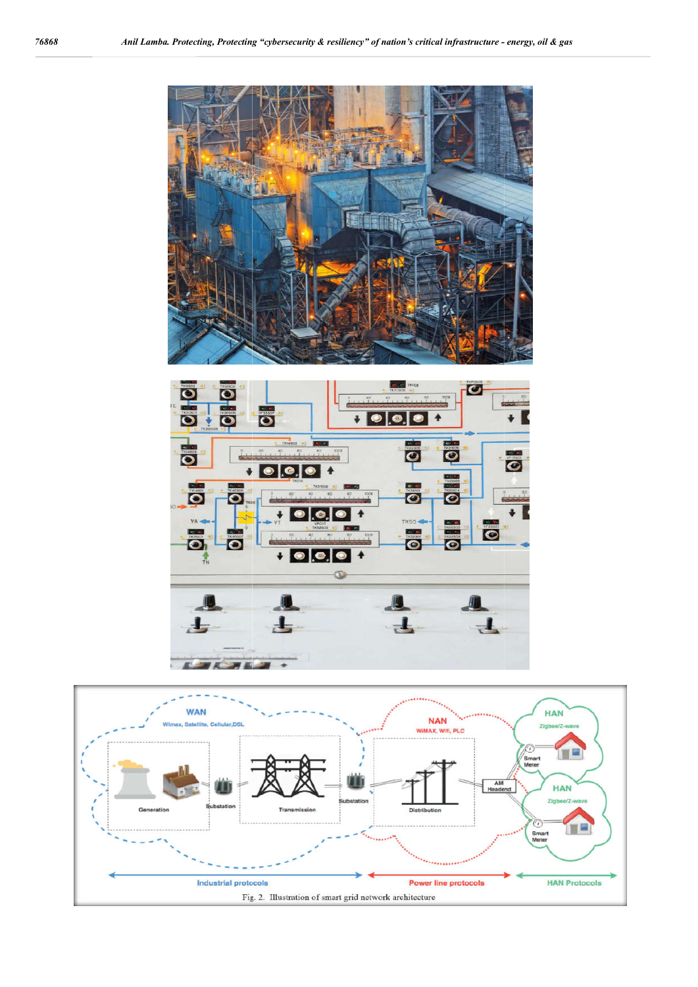

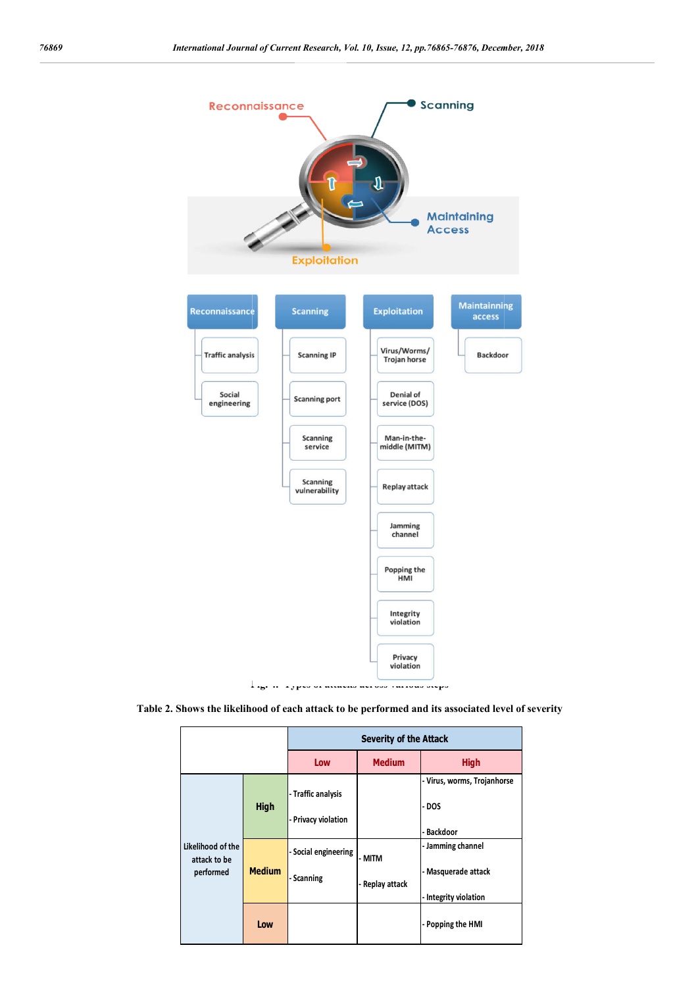

**Table 2. Shows the likelihood of each attack to be performed and i its associated level of severity**

|                                                |               | <b>Severity of the Attack</b>             |                           |                                                                   |  |
|------------------------------------------------|---------------|-------------------------------------------|---------------------------|-------------------------------------------------------------------|--|
|                                                |               | Low                                       | <b>Medium</b>             | <b>High</b>                                                       |  |
| Likelihood of the<br>attack to be<br>performed | <b>High</b>   | - Traffic analysis<br>- Privacy violation |                           | - Virus, worms, Trojanhorse<br>- DOS<br>- Backdoor                |  |
|                                                | <b>Medium</b> | - Social engineering<br>- Scanning        | - MITM<br>- Replay attack | - Jamming channel<br>- Masquerade attack<br>- Integrity violation |  |
|                                                | Low           |                                           |                           | - Popping the HMI                                                 |  |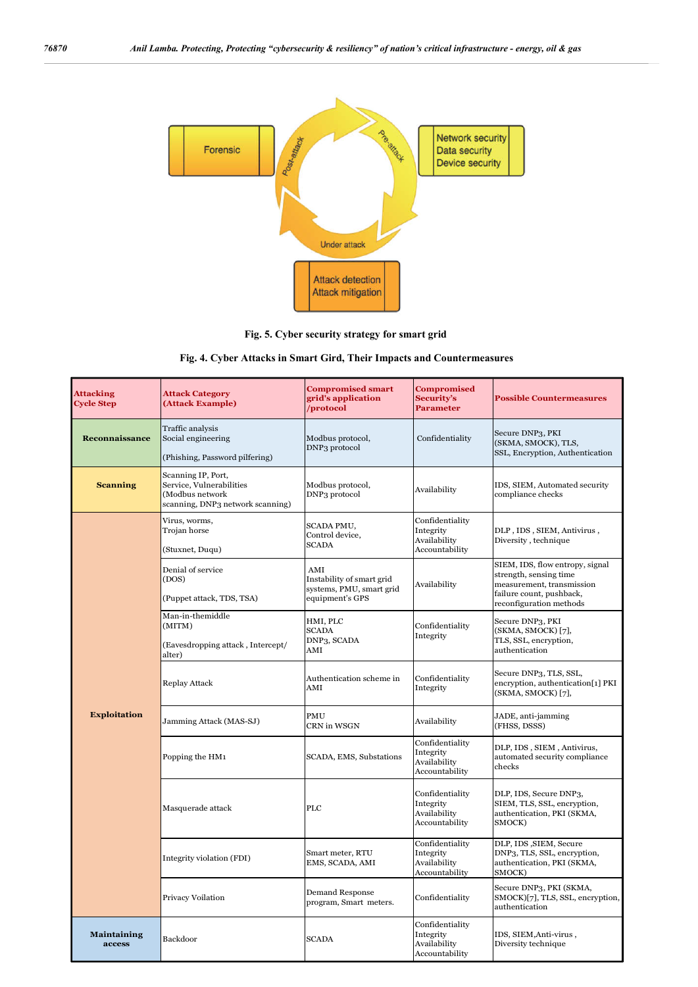

**Fig. 5. Cyber security strategy for smart grid**

# **Fig. 4. Cyber Attacks in Smart Gird, Their Impacts and Countermeasures**

| <b>Attacking</b><br><b>Cycle Step</b> | <b>Attack Category</b><br>(Attack Example)                                                            | <b>Compromised smart</b><br>grid's application<br>/protocol                     | <b>Compromised</b><br>Security's<br><b>Parameter</b>           | <b>Possible Countermeasures</b>                                                                                                               |
|---------------------------------------|-------------------------------------------------------------------------------------------------------|---------------------------------------------------------------------------------|----------------------------------------------------------------|-----------------------------------------------------------------------------------------------------------------------------------------------|
| Reconnaissance                        | Traffic analysis<br>Social engineering<br>(Phishing, Password pilfering)                              | Modbus protocol,<br>DNP <sub>3</sub> protocol                                   | Confidentiality                                                | Secure DNP3, PKI<br>(SKMA, SMOCK), TLS,<br>SSL, Encryption, Authentication                                                                    |
| <b>Scanning</b>                       | Scanning IP, Port,<br>Service, Vulnerabilities<br>(Modbus network<br>scanning, DNP3 network scanning) | Modbus protocol,<br>DNP <sub>3</sub> protocol                                   | Availability                                                   | IDS, SIEM, Automated security<br>compliance checks                                                                                            |
| <b>Exploitation</b>                   | Virus, worms,<br>Trojan horse<br>(Stuxnet, Duqu)                                                      | SCADA PMU,<br>Control device,<br><b>SCADA</b>                                   | Confidentiality<br>Integrity<br>Availability<br>Accountability | DLP, IDS, SIEM, Antivirus,<br>Diversity, technique                                                                                            |
|                                       | Denial of service<br>(DOS)<br>(Puppet attack, TDS, TSA)                                               | AMI<br>Instability of smart grid<br>systems, PMU, smart grid<br>equipment's GPS | Availability                                                   | SIEM, IDS, flow entropy, signal<br>strength, sensing time<br>measurement, transmission<br>failure count, pushback,<br>reconfiguration methods |
|                                       | Man-in-themiddle<br>(MITM)<br>(Eavesdropping attack, Intercept/<br>alter)                             | HMI, PLC<br><b>SCADA</b><br>DNP3, SCADA<br>AMI                                  | Confidentiality<br>Integrity                                   | Secure DNP3, PKI<br>(SKMA, SMOCK) [7],<br>TLS, SSL, encryption,<br>authentication                                                             |
|                                       | <b>Replay Attack</b>                                                                                  | Authentication scheme in<br>AMI                                                 | Confidentiality<br>Integrity                                   | Secure DNP3, TLS, SSL,<br>encryption, authentication[1] PKI<br>(SKMA, SMOCK) [7],                                                             |
|                                       | Jamming Attack (MAS-SJ)                                                                               | PMU<br>CRN in WSGN                                                              | Availability                                                   | JADE, anti-jamming<br>(FHSS, DSSS)                                                                                                            |
|                                       | Popping the HM1                                                                                       | SCADA, EMS, Substations                                                         | Confidentiality<br>Integrity<br>Availability<br>Accountability | DLP, IDS, SIEM, Antivirus,<br>automated security compliance<br>checks                                                                         |
|                                       | Masquerade attack                                                                                     | PLC                                                                             | Confidentiality<br>Integrity<br>Availability<br>Accountability | DLP, IDS, Secure DNP3,<br>SIEM, TLS, SSL, encryption,<br>authentication, PKI (SKMA,<br>SMOCK)                                                 |
|                                       | Integrity violation (FDI)                                                                             | Smart meter, RTU<br>EMS, SCADA, AMI                                             | Confidentiality<br>Integrity<br>Availability<br>Accountability | DLP, IDS , SIEM, Secure<br>DNP3, TLS, SSL, encryption,<br>authentication, PKI (SKMA,<br>SMOCK)                                                |
|                                       | Privacy Voilation                                                                                     | Demand Response<br>program, Smart meters.                                       | Confidentiality                                                | Secure DNP3, PKI (SKMA,<br>SMOCK)[7], TLS, SSL, encryption,<br>authentication                                                                 |
| <b>Maintaining</b><br>access          | Backdoor                                                                                              | <b>SCADA</b>                                                                    | Confidentiality<br>Integrity<br>Availability<br>Accountability | IDS, SIEM, Anti-virus,<br>Diversity technique                                                                                                 |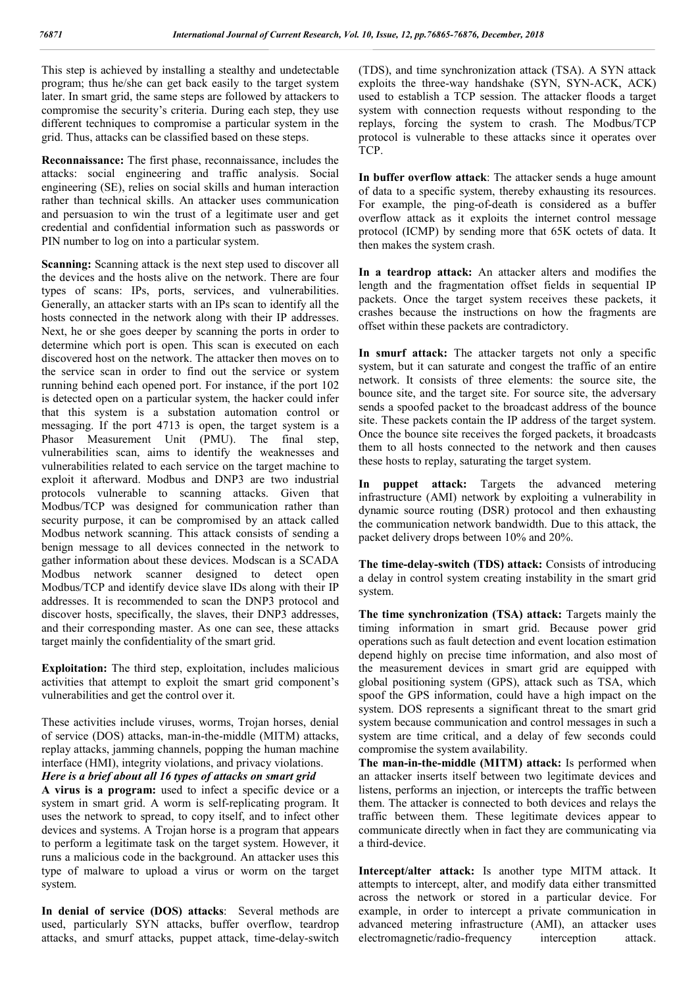This step is achieved by installing a stealthy and undetectable program; thus he/she can get back easily to the target system later. In smart grid, the same steps are followed by attackers to compromise the security's criteria. During each step, they use different techniques to compromise a particular system in the grid. Thus, attacks can be classified based on these steps.

**Reconnaissance:** The first phase, reconnaissance, includes the attacks: social engineering and traffic analysis. Social engineering (SE), relies on social skills and human interaction rather than technical skills. An attacker uses communication and persuasion to win the trust of a legitimate user and get credential and confidential information such as passwords or PIN number to log on into a particular system.

**Scanning:** Scanning attack is the next step used to discover all the devices and the hosts alive on the network. There are four types of scans: IPs, ports, services, and vulnerabilities. Generally, an attacker starts with an IPs scan to identify all the hosts connected in the network along with their IP addresses. Next, he or she goes deeper by scanning the ports in order to determine which port is open. This scan is executed on each discovered host on the network. The attacker then moves on to the service scan in order to find out the service or system running behind each opened port. For instance, if the port 102 is detected open on a particular system, the hacker could infer that this system is a substation automation control or messaging. If the port 4713 is open, the target system is a Phasor Measurement Unit (PMU). The final step, vulnerabilities scan, aims to identify the weaknesses and vulnerabilities related to each service on the target machine to exploit it afterward. Modbus and DNP3 are two industrial protocols vulnerable to scanning attacks. Given that Modbus/TCP was designed for communication rather than security purpose, it can be compromised by an attack called Modbus network scanning. This attack consists of sending a benign message to all devices connected in the network to gather information about these devices. Modscan is a SCADA Modbus network scanner designed to detect open Modbus/TCP and identify device slave IDs along with their IP addresses. It is recommended to scan the DNP3 protocol and discover hosts, specifically, the slaves, their DNP3 addresses, and their corresponding master. As one can see, these attacks target mainly the confidentiality of the smart grid.

**Exploitation:** The third step, exploitation, includes malicious activities that attempt to exploit the smart grid component's vulnerabilities and get the control over it.

These activities include viruses, worms, Trojan horses, denial of service (DOS) attacks, man-in-the-middle (MITM) attacks, replay attacks, jamming channels, popping the human machine interface (HMI), integrity violations, and privacy violations. *Here is a brief about all 16 types of attacks on smart grid* 

**A virus is a program:** used to infect a specific device or a system in smart grid. A worm is self-replicating program. It uses the network to spread, to copy itself, and to infect other devices and systems. A Trojan horse is a program that appears to perform a legitimate task on the target system. However, it runs a malicious code in the background. An attacker uses this type of malware to upload a virus or worm on the target system.

**In denial of service (DOS) attacks**: Several methods are used, particularly SYN attacks, buffer overflow, teardrop attacks, and smurf attacks, puppet attack, time-delay-switch (TDS), and time synchronization attack (TSA). A SYN attack exploits the three-way handshake (SYN, SYN-ACK, ACK) used to establish a TCP session. The attacker floods a target system with connection requests without responding to the replays, forcing the system to crash. The Modbus/TCP protocol is vulnerable to these attacks since it operates over TCP.

**In buffer overflow attack**: The attacker sends a huge amount of data to a specific system, thereby exhausting its resources. For example, the ping-of-death is considered as a buffer overflow attack as it exploits the internet control message protocol (ICMP) by sending more that 65K octets of data. It then makes the system crash.

**In a teardrop attack:** An attacker alters and modifies the length and the fragmentation offset fields in sequential IP packets. Once the target system receives these packets, it crashes because the instructions on how the fragments are offset within these packets are contradictory.

**In smurf attack:** The attacker targets not only a specific system, but it can saturate and congest the traffic of an entire network. It consists of three elements: the source site, the bounce site, and the target site. For source site, the adversary sends a spoofed packet to the broadcast address of the bounce site. These packets contain the IP address of the target system. Once the bounce site receives the forged packets, it broadcasts them to all hosts connected to the network and then causes these hosts to replay, saturating the target system.

**In puppet attack:** Targets the advanced metering infrastructure (AMI) network by exploiting a vulnerability in dynamic source routing (DSR) protocol and then exhausting the communication network bandwidth. Due to this attack, the packet delivery drops between 10% and 20%.

**The time-delay-switch (TDS) attack:** Consists of introducing a delay in control system creating instability in the smart grid system.

**The time synchronization (TSA) attack:** Targets mainly the timing information in smart grid. Because power grid operations such as fault detection and event location estimation depend highly on precise time information, and also most of the measurement devices in smart grid are equipped with global positioning system (GPS), attack such as TSA, which spoof the GPS information, could have a high impact on the system. DOS represents a significant threat to the smart grid system because communication and control messages in such a system are time critical, and a delay of few seconds could compromise the system availability.

**The man-in-the-middle (MITM) attack:** Is performed when an attacker inserts itself between two legitimate devices and listens, performs an injection, or intercepts the traffic between them. The attacker is connected to both devices and relays the traffic between them. These legitimate devices appear to communicate directly when in fact they are communicating via a third-device.

**Intercept/alter attack:** Is another type MITM attack. It attempts to intercept, alter, and modify data either transmitted across the network or stored in a particular device. For example, in order to intercept a private communication in advanced metering infrastructure (AMI), an attacker uses electromagnetic/radio-frequency interception attack.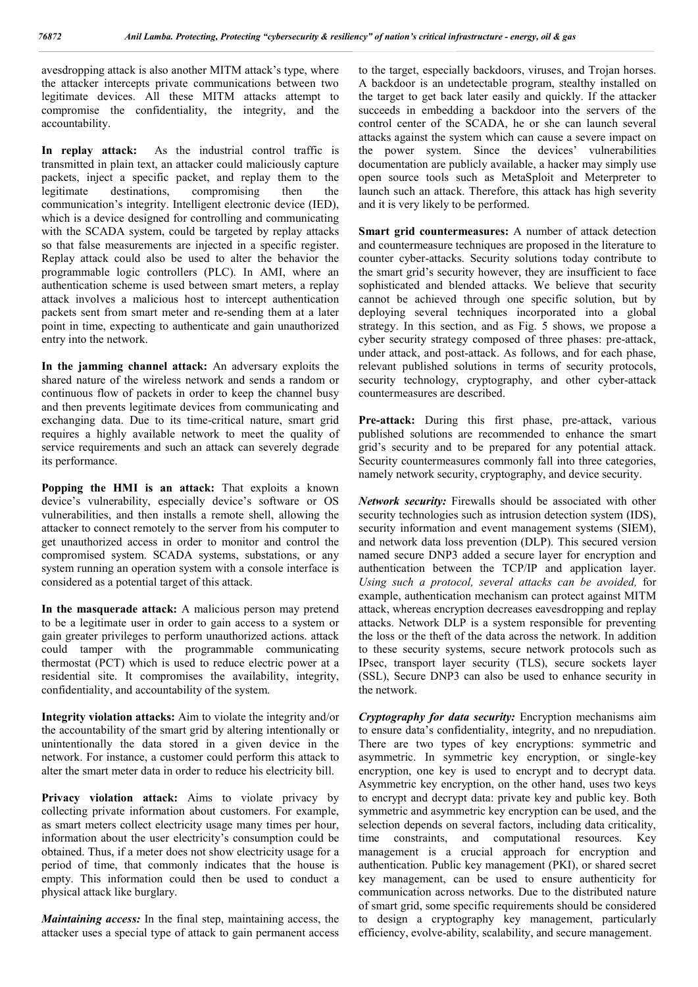avesdropping attack is also another MITM attack's type, where the attacker intercepts private communications between two legitimate devices. All these MITM attacks attempt to compromise the confidentiality, the integrity, and the accountability.

**In replay attack:** As the industrial control traffic is transmitted in plain text, an attacker could maliciously capture packets, inject a specific packet, and replay them to the legitimate destinations, compromising then the communication's integrity. Intelligent electronic device (IED), which is a device designed for controlling and communicating with the SCADA system, could be targeted by replay attacks so that false measurements are injected in a specific register. Replay attack could also be used to alter the behavior the programmable logic controllers (PLC). In AMI, where an authentication scheme is used between smart meters, a replay attack involves a malicious host to intercept authentication packets sent from smart meter and re-sending them at a later point in time, expecting to authenticate and gain unauthorized entry into the network.

**In the jamming channel attack:** An adversary exploits the shared nature of the wireless network and sends a random or continuous flow of packets in order to keep the channel busy and then prevents legitimate devices from communicating and exchanging data. Due to its time-critical nature, smart grid requires a highly available network to meet the quality of service requirements and such an attack can severely degrade its performance.

Popping the HMI is an attack: That exploits a known device's vulnerability, especially device's software or OS vulnerabilities, and then installs a remote shell, allowing the attacker to connect remotely to the server from his computer to get unauthorized access in order to monitor and control the compromised system. SCADA systems, substations, or any system running an operation system with a console interface is considered as a potential target of this attack.

**In the masquerade attack:** A malicious person may pretend to be a legitimate user in order to gain access to a system or gain greater privileges to perform unauthorized actions. attack could tamper with the programmable communicating thermostat (PCT) which is used to reduce electric power at a residential site. It compromises the availability, integrity, confidentiality, and accountability of the system.

**Integrity violation attacks:** Aim to violate the integrity and/or the accountability of the smart grid by altering intentionally or unintentionally the data stored in a given device in the network. For instance, a customer could perform this attack to alter the smart meter data in order to reduce his electricity bill.

Privacy violation attack: Aims to violate privacy by collecting private information about customers. For example, as smart meters collect electricity usage many times per hour, information about the user electricity's consumption could be obtained. Thus, if a meter does not show electricity usage for a period of time, that commonly indicates that the house is empty. This information could then be used to conduct a physical attack like burglary.

*Maintaining access:* In the final step, maintaining access, the attacker uses a special type of attack to gain permanent access to the target, especially backdoors, viruses, and Trojan horses. A backdoor is an undetectable program, stealthy installed on the target to get back later easily and quickly. If the attacker succeeds in embedding a backdoor into the servers of the control center of the SCADA, he or she can launch several attacks against the system which can cause a severe impact on the power system. Since the devices' vulnerabilities documentation are publicly available, a hacker may simply use open source tools such as MetaSploit and Meterpreter to launch such an attack. Therefore, this attack has high severity and it is very likely to be performed.

**Smart grid countermeasures:** A number of attack detection and countermeasure techniques are proposed in the literature to counter cyber-attacks. Security solutions today contribute to the smart grid's security however, they are insufficient to face sophisticated and blended attacks. We believe that security cannot be achieved through one specific solution, but by deploying several techniques incorporated into a global strategy. In this section, and as Fig. 5 shows, we propose a cyber security strategy composed of three phases: pre-attack, under attack, and post-attack. As follows, and for each phase, relevant published solutions in terms of security protocols, security technology, cryptography, and other cyber-attack countermeasures are described.

Pre-attack: During this first phase, pre-attack, various published solutions are recommended to enhance the smart grid's security and to be prepared for any potential attack. Security countermeasures commonly fall into three categories, namely network security, cryptography, and device security.

*Network security:* Firewalls should be associated with other security technologies such as intrusion detection system (IDS), security information and event management systems (SIEM), and network data loss prevention (DLP). This secured version named secure DNP3 added a secure layer for encryption and authentication between the TCP/IP and application layer. *Using such a protocol, several attacks can be avoided,* for example, authentication mechanism can protect against MITM attack, whereas encryption decreases eavesdropping and replay attacks. Network DLP is a system responsible for preventing the loss or the theft of the data across the network. In addition to these security systems, secure network protocols such as IPsec, transport layer security (TLS), secure sockets layer (SSL), Secure DNP3 can also be used to enhance security in the network.

*Cryptography for data security:* Encryption mechanisms aim to ensure data's confidentiality, integrity, and no nrepudiation. There are two types of key encryptions: symmetric and asymmetric. In symmetric key encryption, or single-key encryption, one key is used to encrypt and to decrypt data. Asymmetric key encryption, on the other hand, uses two keys to encrypt and decrypt data: private key and public key. Both symmetric and asymmetric key encryption can be used, and the selection depends on several factors, including data criticality, time constraints, and computational resources. Key management is a crucial approach for encryption and authentication. Public key management (PKI), or shared secret key management, can be used to ensure authenticity for communication across networks. Due to the distributed nature of smart grid, some specific requirements should be considered to design a cryptography key management, particularly efficiency, evolve-ability, scalability, and secure management.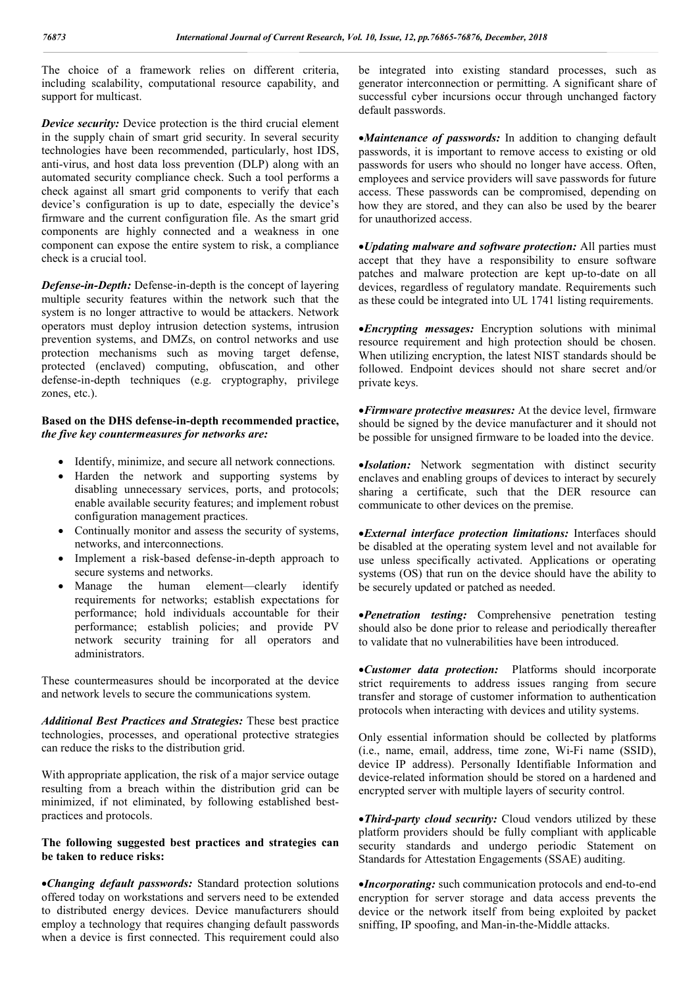The choice of a framework relies on different criteria, including scalability, computational resource capability, and support for multicast.

*Device security:* Device protection is the third crucial element in the supply chain of smart grid security. In several security technologies have been recommended, particularly, host IDS, anti-virus, and host data loss prevention (DLP) along with an automated security compliance check. Such a tool performs a check against all smart grid components to verify that each device's configuration is up to date, especially the device's firmware and the current configuration file. As the smart grid components are highly connected and a weakness in one component can expose the entire system to risk, a compliance check is a crucial tool.

*Defense-in-Depth:* Defense-in-depth is the concept of layering multiple security features within the network such that the system is no longer attractive to would be attackers. Network operators must deploy intrusion detection systems, intrusion prevention systems, and DMZs, on control networks and use protection mechanisms such as moving target defense, protected (enclaved) computing, obfuscation, and other defense-in-depth techniques (e.g. cryptography, privilege zones, etc.).

#### **Based on the DHS defense-in-depth recommended practice,**  *the five key countermeasures for networks are:*

- Identify, minimize, and secure all network connections.
- Harden the network and supporting systems by disabling unnecessary services, ports, and protocols; enable available security features; and implement robust configuration management practices.
- Continually monitor and assess the security of systems, networks, and interconnections.
- Implement a risk-based defense-in-depth approach to secure systems and networks.
- Manage the human element—clearly identify requirements for networks; establish expectations for performance; hold individuals accountable for their performance; establish policies; and provide PV network security training for all operators and administrators.

These countermeasures should be incorporated at the device and network levels to secure the communications system.

*Additional Best Practices and Strategies:* These best practice technologies, processes, and operational protective strategies can reduce the risks to the distribution grid.

With appropriate application, the risk of a major service outage resulting from a breach within the distribution grid can be minimized, if not eliminated, by following established bestpractices and protocols.

### **The following suggested best practices and strategies can be taken to reduce risks:**

*Changing default passwords:* Standard protection solutions offered today on workstations and servers need to be extended to distributed energy devices. Device manufacturers should employ a technology that requires changing default passwords when a device is first connected. This requirement could also be integrated into existing standard processes, such as generator interconnection or permitting. A significant share of successful cyber incursions occur through unchanged factory default passwords.

*Maintenance of passwords:* In addition to changing default passwords, it is important to remove access to existing or old passwords for users who should no longer have access. Often, employees and service providers will save passwords for future access. These passwords can be compromised, depending on how they are stored, and they can also be used by the bearer for unauthorized access.

*Updating malware and software protection:* All parties must accept that they have a responsibility to ensure software patches and malware protection are kept up-to-date on all devices, regardless of regulatory mandate. Requirements such as these could be integrated into UL 1741 listing requirements.

*Encrypting messages:* Encryption solutions with minimal resource requirement and high protection should be chosen. When utilizing encryption, the latest NIST standards should be followed. Endpoint devices should not share secret and/or private keys.

*Firmware protective measures:* At the device level, firmware should be signed by the device manufacturer and it should not be possible for unsigned firmware to be loaded into the device.

*Isolation:* Network segmentation with distinct security enclaves and enabling groups of devices to interact by securely sharing a certificate, such that the DER resource can communicate to other devices on the premise.

*External interface protection limitations:* Interfaces should be disabled at the operating system level and not available for use unless specifically activated. Applications or operating systems (OS) that run on the device should have the ability to be securely updated or patched as needed.

*Penetration testing:* Comprehensive penetration testing should also be done prior to release and periodically thereafter to validate that no vulnerabilities have been introduced.

*Customer data protection:* Platforms should incorporate strict requirements to address issues ranging from secure transfer and storage of customer information to authentication protocols when interacting with devices and utility systems.

Only essential information should be collected by platforms (i.e., name, email, address, time zone, Wi-Fi name (SSID), device IP address). Personally Identifiable Information and device-related information should be stored on a hardened and encrypted server with multiple layers of security control.

*Third-party cloud security:* Cloud vendors utilized by these platform providers should be fully compliant with applicable security standards and undergo periodic Statement on Standards for Attestation Engagements (SSAE) auditing.

*Incorporating:* such communication protocols and end-to-end encryption for server storage and data access prevents the device or the network itself from being exploited by packet sniffing, IP spoofing, and Man-in-the-Middle attacks.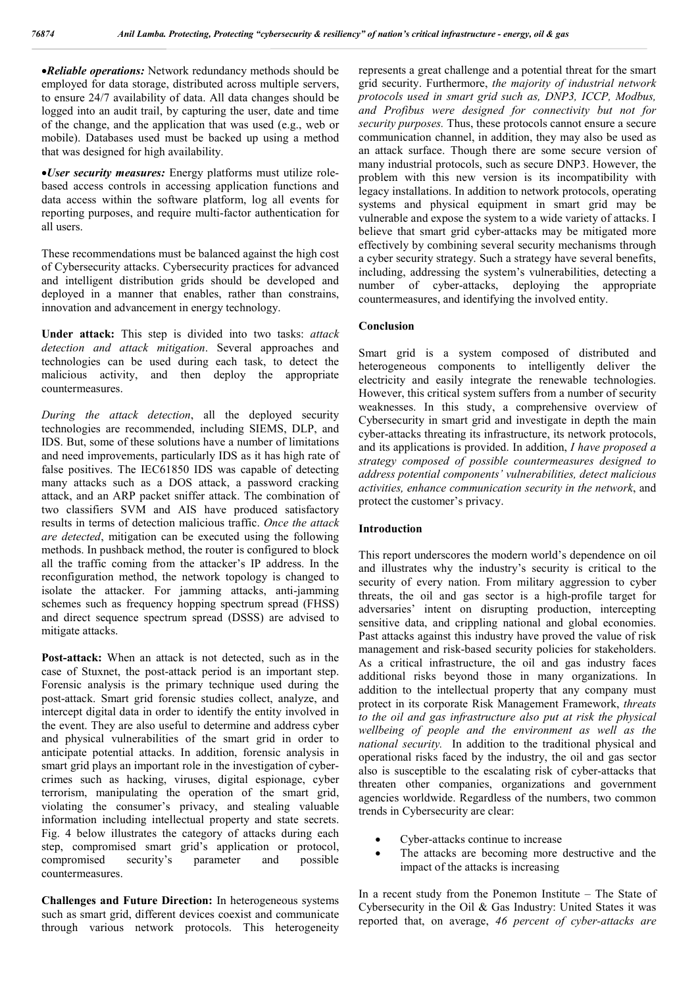*Reliable operations:* Network redundancy methods should be employed for data storage, distributed across multiple servers, to ensure 24/7 availability of data. All data changes should be logged into an audit trail, by capturing the user, date and time of the change, and the application that was used (e.g., web or mobile). Databases used must be backed up using a method that was designed for high availability.

*User security measures:* Energy platforms must utilize rolebased access controls in accessing application functions and data access within the software platform, log all events for reporting purposes, and require multi-factor authentication for all users.

These recommendations must be balanced against the high cost of Cybersecurity attacks. Cybersecurity practices for advanced and intelligent distribution grids should be developed and deployed in a manner that enables, rather than constrains, innovation and advancement in energy technology.

**Under attack:** This step is divided into two tasks: *attack detection and attack mitigation*. Several approaches and technologies can be used during each task, to detect the malicious activity, and then deploy the appropriate countermeasures.

*During the attack detection*, all the deployed security technologies are recommended, including SIEMS, DLP, and IDS. But, some of these solutions have a number of limitations and need improvements, particularly IDS as it has high rate of false positives. The IEC61850 IDS was capable of detecting many attacks such as a DOS attack, a password cracking attack, and an ARP packet sniffer attack. The combination of two classifiers SVM and AIS have produced satisfactory results in terms of detection malicious traffic. *Once the attack are detected*, mitigation can be executed using the following methods. In pushback method, the router is configured to block all the traffic coming from the attacker's IP address. In the reconfiguration method, the network topology is changed to isolate the attacker. For jamming attacks, anti-jamming schemes such as frequency hopping spectrum spread (FHSS) and direct sequence spectrum spread (DSSS) are advised to mitigate attacks.

**Post-attack:** When an attack is not detected, such as in the case of Stuxnet, the post-attack period is an important step. Forensic analysis is the primary technique used during the post-attack. Smart grid forensic studies collect, analyze, and intercept digital data in order to identify the entity involved in the event. They are also useful to determine and address cyber and physical vulnerabilities of the smart grid in order to anticipate potential attacks. In addition, forensic analysis in smart grid plays an important role in the investigation of cybercrimes such as hacking, viruses, digital espionage, cyber terrorism, manipulating the operation of the smart grid, violating the consumer's privacy, and stealing valuable information including intellectual property and state secrets. Fig. 4 below illustrates the category of attacks during each step, compromised smart grid's application or protocol, compromised security's parameter and possible countermeasures.

**Challenges and Future Direction:** In heterogeneous systems such as smart grid, different devices coexist and communicate through various network protocols. This heterogeneity

represents a great challenge and a potential threat for the smart grid security. Furthermore, *the majority of industrial network protocols used in smart grid such as, DNP3, ICCP, Modbus, and Profibus were designed for connectivity but not for security purposes.* Thus, these protocols cannot ensure a secure communication channel, in addition, they may also be used as an attack surface. Though there are some secure version of many industrial protocols, such as secure DNP3. However, the problem with this new version is its incompatibility with legacy installations. In addition to network protocols, operating systems and physical equipment in smart grid may be vulnerable and expose the system to a wide variety of attacks. I believe that smart grid cyber-attacks may be mitigated more effectively by combining several security mechanisms through a cyber security strategy. Such a strategy have several benefits, including, addressing the system's vulnerabilities, detecting a number of cyber-attacks, deploying the appropriate countermeasures, and identifying the involved entity.

#### **Conclusion**

Smart grid is a system composed of distributed and heterogeneous components to intelligently deliver the electricity and easily integrate the renewable technologies. However, this critical system suffers from a number of security weaknesses. In this study, a comprehensive overview of Cybersecurity in smart grid and investigate in depth the main cyber-attacks threating its infrastructure, its network protocols, and its applications is provided. In addition, *I have proposed a strategy composed of possible countermeasures designed to address potential components' vulnerabilities, detect malicious activities, enhance communication security in the network*, and protect the customer's privacy.

#### **Introduction**

This report underscores the modern world's dependence on oil and illustrates why the industry's security is critical to the security of every nation. From military aggression to cyber threats, the oil and gas sector is a high-profile target for adversaries' intent on disrupting production, intercepting sensitive data, and crippling national and global economies. Past attacks against this industry have proved the value of risk management and risk-based security policies for stakeholders. As a critical infrastructure, the oil and gas industry faces additional risks beyond those in many organizations. In addition to the intellectual property that any company must protect in its corporate Risk Management Framework, *threats to the oil and gas infrastructure also put at risk the physical wellbeing of people and the environment as well as the national security.* In addition to the traditional physical and operational risks faced by the industry, the oil and gas sector also is susceptible to the escalating risk of cyber-attacks that threaten other companies, organizations and government agencies worldwide. Regardless of the numbers, two common trends in Cybersecurity are clear:

- Cyber-attacks continue to increase
- The attacks are becoming more destructive and the impact of the attacks is increasing

In a recent study from the Ponemon Institute – The State of Cybersecurity in the Oil & Gas Industry: United States it was reported that, on average, *46 percent of cyber-attacks are*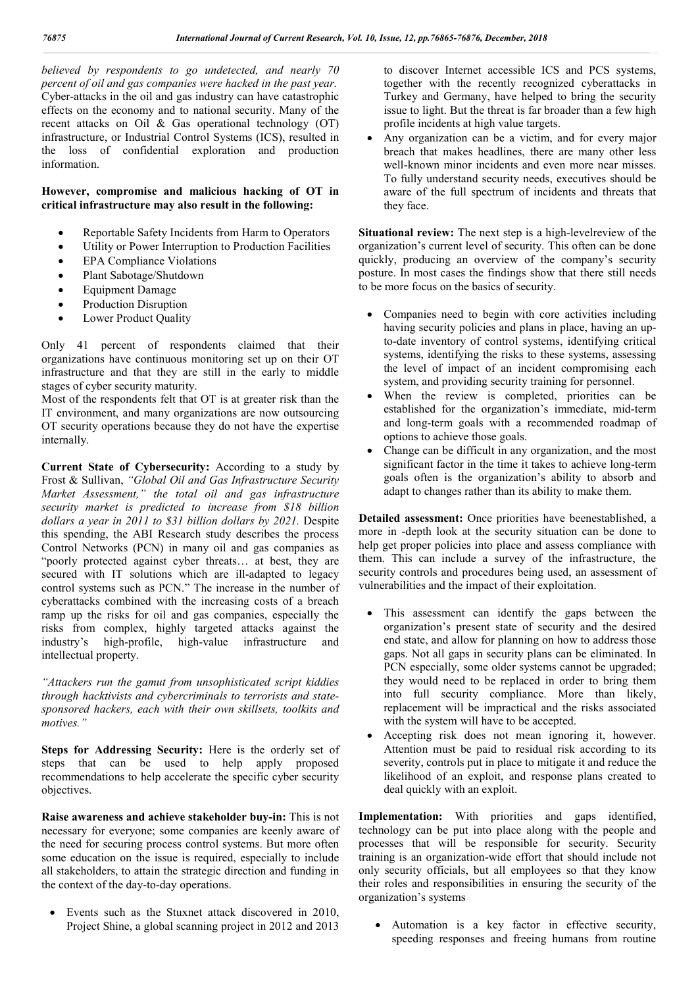*believed by respondents to go undetected, and nearly 70 percent of oil and gas companies were hacked in the past year.*  Cyber-attacks in the oil and gas industry can have catastrophic effects on the economy and to national security. Many of the recent attacks on Oil & Gas operational technology (OT) infrastructure, or Industrial Control Systems (ICS), resulted in the loss of confidential exploration and production information.

## **However, compromise and malicious hacking of OT in critical infrastructure may also result in the following:**

- Reportable Safety Incidents from Harm to Operators
- Utility or Power Interruption to Production Facilities
- EPA Compliance Violations
- Plant Sabotage/Shutdown
- Equipment Damage
- Production Disruption
- Lower Product Quality

Only 41 percent of respondents claimed that their organizations have continuous monitoring set up on their OT infrastructure and that they are still in the early to middle stages of cyber security maturity.

Most of the respondents felt that OT is at greater risk than the IT environment, and many organizations are now outsourcing OT security operations because they do not have the expertise internally.

**Current State of Cybersecurity:** According to a study by Frost & Sullivan, *"Global Oil and Gas Infrastructure Security Market Assessment," the total oil and gas infrastructure security market is predicted to increase from \$18 billion dollars a year in 2011 to \$31 billion dollars by 2021.* Despite this spending, the ABI Research study describes the process Control Networks (PCN) in many oil and gas companies as "poorly protected against cyber threats… at best, they are secured with IT solutions which are ill-adapted to legacy control systems such as PCN." The increase in the number of cyberattacks combined with the increasing costs of a breach ramp up the risks for oil and gas companies, especially the risks from complex, highly targeted attacks against the industry's high-profile, high-value infrastructure and intellectual property.

*"Attackers run the gamut from unsophisticated script kiddies through hacktivists and cybercriminals to terrorists and statesponsored hackers, each with their own skillsets, toolkits and motives."*

**Steps for Addressing Security:** Here is the orderly set of steps that can be used to help apply proposed recommendations to help accelerate the specific cyber security objectives.

**Raise awareness and achieve stakeholder buy-in:** This is not necessary for everyone; some companies are keenly aware of the need for securing process control systems. But more often some education on the issue is required, especially to include all stakeholders, to attain the strategic direction and funding in the context of the day-to-day operations.

 Events such as the Stuxnet attack discovered in 2010, Project Shine, a global scanning project in 2012 and 2013

to discover Internet accessible ICS and PCS systems, together with the recently recognized cyberattacks in Turkey and Germany, have helped to bring the security issue to light. But the threat is far broader than a few high profile incidents at high value targets.

 Any organization can be a victim, and for every major breach that makes headlines, there are many other less well-known minor incidents and even more near misses. To fully understand security needs, executives should be aware of the full spectrum of incidents and threats that they face.

**Situational review:** The next step is a high-levelreview of the organization's current level of security. This often can be done quickly, producing an overview of the company's security posture. In most cases the findings show that there still needs to be more focus on the basics of security.

- Companies need to begin with core activities including having security policies and plans in place, having an upto-date inventory of control systems, identifying critical systems, identifying the risks to these systems, assessing the level of impact of an incident compromising each system, and providing security training for personnel.
- When the review is completed, priorities can be established for the organization's immediate, mid-term and long-term goals with a recommended roadmap of options to achieve those goals.
- Change can be difficult in any organization, and the most significant factor in the time it takes to achieve long-term goals often is the organization's ability to absorb and adapt to changes rather than its ability to make them.

**Detailed assessment:** Once priorities have beenestablished, a more in -depth look at the security situation can be done to help get proper policies into place and assess compliance with them. This can include a survey of the infrastructure, the security controls and procedures being used, an assessment of vulnerabilities and the impact of their exploitation.

- This assessment can identify the gaps between the organization's present state of security and the desired end state, and allow for planning on how to address those gaps. Not all gaps in security plans can be eliminated. In PCN especially, some older systems cannot be upgraded; they would need to be replaced in order to bring them into full security compliance. More than likely, replacement will be impractical and the risks associated with the system will have to be accepted.
- Accepting risk does not mean ignoring it, however. Attention must be paid to residual risk according to its severity, controls put in place to mitigate it and reduce the likelihood of an exploit, and response plans created to deal quickly with an exploit.

**Implementation:** With priorities and gaps identified, technology can be put into place along with the people and processes that will be responsible for security. Security training is an organization-wide effort that should include not only security officials, but all employees so that they know their roles and responsibilities in ensuring the security of the organization's systems

 Automation is a key factor in effective security, speeding responses and freeing humans from routine